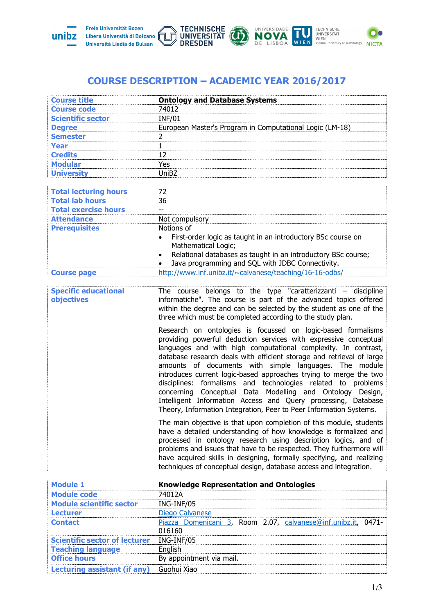





## **COURSE DESCRIPTION – ACADEMIC YEAR 2016/2017**

| <b>Course code</b><br>74012<br><b>INF/01</b><br><b>Scientific sector</b><br>European Master's Program in Computational Logic (LM-18)<br><b>Degree</b><br>$\overline{2}$<br><b>Semester</b><br>$\mathbf{1}$<br><b>Year</b><br>12<br><b>Credits</b><br>Yes<br><b>Modular</b><br><b>University</b><br>UniBZ<br><b>Total lecturing hours</b><br>72<br><b>Total lab hours</b><br>36<br><b>Total exercise hours</b><br>$- -$<br><b>Attendance</b><br>Not compulsory<br>Notions of<br><b>Prerequisites</b><br>First-order logic as taught in an introductory BSc course on<br>Mathematical Logic;<br>Relational databases as taught in an introductory BSc course;<br>Java programming and SQL with JDBC Connectivity.<br>http://www.inf.unibz.it/~calvanese/teaching/16-16-odbs/<br><b>Course page</b><br>The course belongs to the type "caratterizzanti $-$ discipline<br><b>Specific educational</b><br>informatiche". The course is part of the advanced topics offered<br>objectives<br>within the degree and can be selected by the student as one of the<br>three which must be completed according to the study plan.<br>Research on ontologies is focussed on logic-based formalisms<br>providing powerful deduction services with expressive conceptual<br>languages and with high computational complexity. In contrast,<br>database research deals with efficient storage and retrieval of large<br>amounts of documents with simple languages. The module<br>introduces current logic-based approaches trying to merge the two<br>disciplines: formalisms and technologies related to problems<br>concerning Conceptual Data Modelling and Ontology Design,<br>Intelligent Information Access and Query processing, Database<br>Theory, Information Integration, Peer to Peer Information Systems.<br>The main objective is that upon completion of this module, students<br>have a detailed understanding of how knowledge is formalized and<br>processed in ontology research using description logics, and of<br>problems and issues that have to be respected. They furthermore will<br>have acquired skills in designing, formally specifying, and realizing<br>techniques of conceptual design, database access and integration.<br><b>Knowledge Representation and Ontologies</b><br><b>Module 1</b><br><b>Module code</b><br>74012A<br><b>Module scientific sector</b><br>ING-INF/05<br><b>Lecturer</b><br>Diego Calvanese<br>Piazza Domenicani 3, Room 2.07, calvanese@inf.unibz.it, 0471-<br><b>Contact</b><br>016160<br><b>Scientific sector of lecturer</b><br>ING-INF/05<br>English<br><b>Teaching language</b><br><b>Office hours</b><br>By appointment via mail.<br><b>Lecturing assistant (if any)</b><br>Guohui Xiao | <b>Course title</b> | <b>Ontology and Database Systems</b> |
|----------------------------------------------------------------------------------------------------------------------------------------------------------------------------------------------------------------------------------------------------------------------------------------------------------------------------------------------------------------------------------------------------------------------------------------------------------------------------------------------------------------------------------------------------------------------------------------------------------------------------------------------------------------------------------------------------------------------------------------------------------------------------------------------------------------------------------------------------------------------------------------------------------------------------------------------------------------------------------------------------------------------------------------------------------------------------------------------------------------------------------------------------------------------------------------------------------------------------------------------------------------------------------------------------------------------------------------------------------------------------------------------------------------------------------------------------------------------------------------------------------------------------------------------------------------------------------------------------------------------------------------------------------------------------------------------------------------------------------------------------------------------------------------------------------------------------------------------------------------------------------------------------------------------------------------------------------------------------------------------------------------------------------------------------------------------------------------------------------------------------------------------------------------------------------------------------------------------------------------------------------------------------------------------------------------------------------------------------------------------------------------------------------------------------------------------------------------------------------------------------------------------------------------------------------------------------------------------------------------------------------------------------------------------------------------------------------------------------------------------|---------------------|--------------------------------------|
|                                                                                                                                                                                                                                                                                                                                                                                                                                                                                                                                                                                                                                                                                                                                                                                                                                                                                                                                                                                                                                                                                                                                                                                                                                                                                                                                                                                                                                                                                                                                                                                                                                                                                                                                                                                                                                                                                                                                                                                                                                                                                                                                                                                                                                                                                                                                                                                                                                                                                                                                                                                                                                                                                                                                              |                     |                                      |
|                                                                                                                                                                                                                                                                                                                                                                                                                                                                                                                                                                                                                                                                                                                                                                                                                                                                                                                                                                                                                                                                                                                                                                                                                                                                                                                                                                                                                                                                                                                                                                                                                                                                                                                                                                                                                                                                                                                                                                                                                                                                                                                                                                                                                                                                                                                                                                                                                                                                                                                                                                                                                                                                                                                                              |                     |                                      |
|                                                                                                                                                                                                                                                                                                                                                                                                                                                                                                                                                                                                                                                                                                                                                                                                                                                                                                                                                                                                                                                                                                                                                                                                                                                                                                                                                                                                                                                                                                                                                                                                                                                                                                                                                                                                                                                                                                                                                                                                                                                                                                                                                                                                                                                                                                                                                                                                                                                                                                                                                                                                                                                                                                                                              |                     |                                      |
|                                                                                                                                                                                                                                                                                                                                                                                                                                                                                                                                                                                                                                                                                                                                                                                                                                                                                                                                                                                                                                                                                                                                                                                                                                                                                                                                                                                                                                                                                                                                                                                                                                                                                                                                                                                                                                                                                                                                                                                                                                                                                                                                                                                                                                                                                                                                                                                                                                                                                                                                                                                                                                                                                                                                              |                     |                                      |
|                                                                                                                                                                                                                                                                                                                                                                                                                                                                                                                                                                                                                                                                                                                                                                                                                                                                                                                                                                                                                                                                                                                                                                                                                                                                                                                                                                                                                                                                                                                                                                                                                                                                                                                                                                                                                                                                                                                                                                                                                                                                                                                                                                                                                                                                                                                                                                                                                                                                                                                                                                                                                                                                                                                                              |                     |                                      |
|                                                                                                                                                                                                                                                                                                                                                                                                                                                                                                                                                                                                                                                                                                                                                                                                                                                                                                                                                                                                                                                                                                                                                                                                                                                                                                                                                                                                                                                                                                                                                                                                                                                                                                                                                                                                                                                                                                                                                                                                                                                                                                                                                                                                                                                                                                                                                                                                                                                                                                                                                                                                                                                                                                                                              |                     |                                      |
|                                                                                                                                                                                                                                                                                                                                                                                                                                                                                                                                                                                                                                                                                                                                                                                                                                                                                                                                                                                                                                                                                                                                                                                                                                                                                                                                                                                                                                                                                                                                                                                                                                                                                                                                                                                                                                                                                                                                                                                                                                                                                                                                                                                                                                                                                                                                                                                                                                                                                                                                                                                                                                                                                                                                              |                     |                                      |
|                                                                                                                                                                                                                                                                                                                                                                                                                                                                                                                                                                                                                                                                                                                                                                                                                                                                                                                                                                                                                                                                                                                                                                                                                                                                                                                                                                                                                                                                                                                                                                                                                                                                                                                                                                                                                                                                                                                                                                                                                                                                                                                                                                                                                                                                                                                                                                                                                                                                                                                                                                                                                                                                                                                                              |                     |                                      |
|                                                                                                                                                                                                                                                                                                                                                                                                                                                                                                                                                                                                                                                                                                                                                                                                                                                                                                                                                                                                                                                                                                                                                                                                                                                                                                                                                                                                                                                                                                                                                                                                                                                                                                                                                                                                                                                                                                                                                                                                                                                                                                                                                                                                                                                                                                                                                                                                                                                                                                                                                                                                                                                                                                                                              |                     |                                      |
|                                                                                                                                                                                                                                                                                                                                                                                                                                                                                                                                                                                                                                                                                                                                                                                                                                                                                                                                                                                                                                                                                                                                                                                                                                                                                                                                                                                                                                                                                                                                                                                                                                                                                                                                                                                                                                                                                                                                                                                                                                                                                                                                                                                                                                                                                                                                                                                                                                                                                                                                                                                                                                                                                                                                              |                     |                                      |
|                                                                                                                                                                                                                                                                                                                                                                                                                                                                                                                                                                                                                                                                                                                                                                                                                                                                                                                                                                                                                                                                                                                                                                                                                                                                                                                                                                                                                                                                                                                                                                                                                                                                                                                                                                                                                                                                                                                                                                                                                                                                                                                                                                                                                                                                                                                                                                                                                                                                                                                                                                                                                                                                                                                                              |                     |                                      |
|                                                                                                                                                                                                                                                                                                                                                                                                                                                                                                                                                                                                                                                                                                                                                                                                                                                                                                                                                                                                                                                                                                                                                                                                                                                                                                                                                                                                                                                                                                                                                                                                                                                                                                                                                                                                                                                                                                                                                                                                                                                                                                                                                                                                                                                                                                                                                                                                                                                                                                                                                                                                                                                                                                                                              |                     |                                      |
|                                                                                                                                                                                                                                                                                                                                                                                                                                                                                                                                                                                                                                                                                                                                                                                                                                                                                                                                                                                                                                                                                                                                                                                                                                                                                                                                                                                                                                                                                                                                                                                                                                                                                                                                                                                                                                                                                                                                                                                                                                                                                                                                                                                                                                                                                                                                                                                                                                                                                                                                                                                                                                                                                                                                              |                     |                                      |
|                                                                                                                                                                                                                                                                                                                                                                                                                                                                                                                                                                                                                                                                                                                                                                                                                                                                                                                                                                                                                                                                                                                                                                                                                                                                                                                                                                                                                                                                                                                                                                                                                                                                                                                                                                                                                                                                                                                                                                                                                                                                                                                                                                                                                                                                                                                                                                                                                                                                                                                                                                                                                                                                                                                                              |                     |                                      |
|                                                                                                                                                                                                                                                                                                                                                                                                                                                                                                                                                                                                                                                                                                                                                                                                                                                                                                                                                                                                                                                                                                                                                                                                                                                                                                                                                                                                                                                                                                                                                                                                                                                                                                                                                                                                                                                                                                                                                                                                                                                                                                                                                                                                                                                                                                                                                                                                                                                                                                                                                                                                                                                                                                                                              |                     |                                      |
|                                                                                                                                                                                                                                                                                                                                                                                                                                                                                                                                                                                                                                                                                                                                                                                                                                                                                                                                                                                                                                                                                                                                                                                                                                                                                                                                                                                                                                                                                                                                                                                                                                                                                                                                                                                                                                                                                                                                                                                                                                                                                                                                                                                                                                                                                                                                                                                                                                                                                                                                                                                                                                                                                                                                              |                     |                                      |
|                                                                                                                                                                                                                                                                                                                                                                                                                                                                                                                                                                                                                                                                                                                                                                                                                                                                                                                                                                                                                                                                                                                                                                                                                                                                                                                                                                                                                                                                                                                                                                                                                                                                                                                                                                                                                                                                                                                                                                                                                                                                                                                                                                                                                                                                                                                                                                                                                                                                                                                                                                                                                                                                                                                                              |                     |                                      |
|                                                                                                                                                                                                                                                                                                                                                                                                                                                                                                                                                                                                                                                                                                                                                                                                                                                                                                                                                                                                                                                                                                                                                                                                                                                                                                                                                                                                                                                                                                                                                                                                                                                                                                                                                                                                                                                                                                                                                                                                                                                                                                                                                                                                                                                                                                                                                                                                                                                                                                                                                                                                                                                                                                                                              |                     |                                      |
|                                                                                                                                                                                                                                                                                                                                                                                                                                                                                                                                                                                                                                                                                                                                                                                                                                                                                                                                                                                                                                                                                                                                                                                                                                                                                                                                                                                                                                                                                                                                                                                                                                                                                                                                                                                                                                                                                                                                                                                                                                                                                                                                                                                                                                                                                                                                                                                                                                                                                                                                                                                                                                                                                                                                              |                     |                                      |
|                                                                                                                                                                                                                                                                                                                                                                                                                                                                                                                                                                                                                                                                                                                                                                                                                                                                                                                                                                                                                                                                                                                                                                                                                                                                                                                                                                                                                                                                                                                                                                                                                                                                                                                                                                                                                                                                                                                                                                                                                                                                                                                                                                                                                                                                                                                                                                                                                                                                                                                                                                                                                                                                                                                                              |                     |                                      |
|                                                                                                                                                                                                                                                                                                                                                                                                                                                                                                                                                                                                                                                                                                                                                                                                                                                                                                                                                                                                                                                                                                                                                                                                                                                                                                                                                                                                                                                                                                                                                                                                                                                                                                                                                                                                                                                                                                                                                                                                                                                                                                                                                                                                                                                                                                                                                                                                                                                                                                                                                                                                                                                                                                                                              |                     |                                      |
|                                                                                                                                                                                                                                                                                                                                                                                                                                                                                                                                                                                                                                                                                                                                                                                                                                                                                                                                                                                                                                                                                                                                                                                                                                                                                                                                                                                                                                                                                                                                                                                                                                                                                                                                                                                                                                                                                                                                                                                                                                                                                                                                                                                                                                                                                                                                                                                                                                                                                                                                                                                                                                                                                                                                              |                     |                                      |
|                                                                                                                                                                                                                                                                                                                                                                                                                                                                                                                                                                                                                                                                                                                                                                                                                                                                                                                                                                                                                                                                                                                                                                                                                                                                                                                                                                                                                                                                                                                                                                                                                                                                                                                                                                                                                                                                                                                                                                                                                                                                                                                                                                                                                                                                                                                                                                                                                                                                                                                                                                                                                                                                                                                                              |                     |                                      |
|                                                                                                                                                                                                                                                                                                                                                                                                                                                                                                                                                                                                                                                                                                                                                                                                                                                                                                                                                                                                                                                                                                                                                                                                                                                                                                                                                                                                                                                                                                                                                                                                                                                                                                                                                                                                                                                                                                                                                                                                                                                                                                                                                                                                                                                                                                                                                                                                                                                                                                                                                                                                                                                                                                                                              |                     |                                      |
|                                                                                                                                                                                                                                                                                                                                                                                                                                                                                                                                                                                                                                                                                                                                                                                                                                                                                                                                                                                                                                                                                                                                                                                                                                                                                                                                                                                                                                                                                                                                                                                                                                                                                                                                                                                                                                                                                                                                                                                                                                                                                                                                                                                                                                                                                                                                                                                                                                                                                                                                                                                                                                                                                                                                              |                     |                                      |
|                                                                                                                                                                                                                                                                                                                                                                                                                                                                                                                                                                                                                                                                                                                                                                                                                                                                                                                                                                                                                                                                                                                                                                                                                                                                                                                                                                                                                                                                                                                                                                                                                                                                                                                                                                                                                                                                                                                                                                                                                                                                                                                                                                                                                                                                                                                                                                                                                                                                                                                                                                                                                                                                                                                                              |                     |                                      |
|                                                                                                                                                                                                                                                                                                                                                                                                                                                                                                                                                                                                                                                                                                                                                                                                                                                                                                                                                                                                                                                                                                                                                                                                                                                                                                                                                                                                                                                                                                                                                                                                                                                                                                                                                                                                                                                                                                                                                                                                                                                                                                                                                                                                                                                                                                                                                                                                                                                                                                                                                                                                                                                                                                                                              |                     |                                      |
|                                                                                                                                                                                                                                                                                                                                                                                                                                                                                                                                                                                                                                                                                                                                                                                                                                                                                                                                                                                                                                                                                                                                                                                                                                                                                                                                                                                                                                                                                                                                                                                                                                                                                                                                                                                                                                                                                                                                                                                                                                                                                                                                                                                                                                                                                                                                                                                                                                                                                                                                                                                                                                                                                                                                              |                     |                                      |
|                                                                                                                                                                                                                                                                                                                                                                                                                                                                                                                                                                                                                                                                                                                                                                                                                                                                                                                                                                                                                                                                                                                                                                                                                                                                                                                                                                                                                                                                                                                                                                                                                                                                                                                                                                                                                                                                                                                                                                                                                                                                                                                                                                                                                                                                                                                                                                                                                                                                                                                                                                                                                                                                                                                                              |                     |                                      |
|                                                                                                                                                                                                                                                                                                                                                                                                                                                                                                                                                                                                                                                                                                                                                                                                                                                                                                                                                                                                                                                                                                                                                                                                                                                                                                                                                                                                                                                                                                                                                                                                                                                                                                                                                                                                                                                                                                                                                                                                                                                                                                                                                                                                                                                                                                                                                                                                                                                                                                                                                                                                                                                                                                                                              |                     |                                      |
|                                                                                                                                                                                                                                                                                                                                                                                                                                                                                                                                                                                                                                                                                                                                                                                                                                                                                                                                                                                                                                                                                                                                                                                                                                                                                                                                                                                                                                                                                                                                                                                                                                                                                                                                                                                                                                                                                                                                                                                                                                                                                                                                                                                                                                                                                                                                                                                                                                                                                                                                                                                                                                                                                                                                              |                     |                                      |
|                                                                                                                                                                                                                                                                                                                                                                                                                                                                                                                                                                                                                                                                                                                                                                                                                                                                                                                                                                                                                                                                                                                                                                                                                                                                                                                                                                                                                                                                                                                                                                                                                                                                                                                                                                                                                                                                                                                                                                                                                                                                                                                                                                                                                                                                                                                                                                                                                                                                                                                                                                                                                                                                                                                                              |                     |                                      |
|                                                                                                                                                                                                                                                                                                                                                                                                                                                                                                                                                                                                                                                                                                                                                                                                                                                                                                                                                                                                                                                                                                                                                                                                                                                                                                                                                                                                                                                                                                                                                                                                                                                                                                                                                                                                                                                                                                                                                                                                                                                                                                                                                                                                                                                                                                                                                                                                                                                                                                                                                                                                                                                                                                                                              |                     |                                      |
|                                                                                                                                                                                                                                                                                                                                                                                                                                                                                                                                                                                                                                                                                                                                                                                                                                                                                                                                                                                                                                                                                                                                                                                                                                                                                                                                                                                                                                                                                                                                                                                                                                                                                                                                                                                                                                                                                                                                                                                                                                                                                                                                                                                                                                                                                                                                                                                                                                                                                                                                                                                                                                                                                                                                              |                     |                                      |
|                                                                                                                                                                                                                                                                                                                                                                                                                                                                                                                                                                                                                                                                                                                                                                                                                                                                                                                                                                                                                                                                                                                                                                                                                                                                                                                                                                                                                                                                                                                                                                                                                                                                                                                                                                                                                                                                                                                                                                                                                                                                                                                                                                                                                                                                                                                                                                                                                                                                                                                                                                                                                                                                                                                                              |                     |                                      |
|                                                                                                                                                                                                                                                                                                                                                                                                                                                                                                                                                                                                                                                                                                                                                                                                                                                                                                                                                                                                                                                                                                                                                                                                                                                                                                                                                                                                                                                                                                                                                                                                                                                                                                                                                                                                                                                                                                                                                                                                                                                                                                                                                                                                                                                                                                                                                                                                                                                                                                                                                                                                                                                                                                                                              |                     |                                      |
|                                                                                                                                                                                                                                                                                                                                                                                                                                                                                                                                                                                                                                                                                                                                                                                                                                                                                                                                                                                                                                                                                                                                                                                                                                                                                                                                                                                                                                                                                                                                                                                                                                                                                                                                                                                                                                                                                                                                                                                                                                                                                                                                                                                                                                                                                                                                                                                                                                                                                                                                                                                                                                                                                                                                              |                     |                                      |
|                                                                                                                                                                                                                                                                                                                                                                                                                                                                                                                                                                                                                                                                                                                                                                                                                                                                                                                                                                                                                                                                                                                                                                                                                                                                                                                                                                                                                                                                                                                                                                                                                                                                                                                                                                                                                                                                                                                                                                                                                                                                                                                                                                                                                                                                                                                                                                                                                                                                                                                                                                                                                                                                                                                                              |                     |                                      |
|                                                                                                                                                                                                                                                                                                                                                                                                                                                                                                                                                                                                                                                                                                                                                                                                                                                                                                                                                                                                                                                                                                                                                                                                                                                                                                                                                                                                                                                                                                                                                                                                                                                                                                                                                                                                                                                                                                                                                                                                                                                                                                                                                                                                                                                                                                                                                                                                                                                                                                                                                                                                                                                                                                                                              |                     |                                      |
|                                                                                                                                                                                                                                                                                                                                                                                                                                                                                                                                                                                                                                                                                                                                                                                                                                                                                                                                                                                                                                                                                                                                                                                                                                                                                                                                                                                                                                                                                                                                                                                                                                                                                                                                                                                                                                                                                                                                                                                                                                                                                                                                                                                                                                                                                                                                                                                                                                                                                                                                                                                                                                                                                                                                              |                     |                                      |
|                                                                                                                                                                                                                                                                                                                                                                                                                                                                                                                                                                                                                                                                                                                                                                                                                                                                                                                                                                                                                                                                                                                                                                                                                                                                                                                                                                                                                                                                                                                                                                                                                                                                                                                                                                                                                                                                                                                                                                                                                                                                                                                                                                                                                                                                                                                                                                                                                                                                                                                                                                                                                                                                                                                                              |                     |                                      |
|                                                                                                                                                                                                                                                                                                                                                                                                                                                                                                                                                                                                                                                                                                                                                                                                                                                                                                                                                                                                                                                                                                                                                                                                                                                                                                                                                                                                                                                                                                                                                                                                                                                                                                                                                                                                                                                                                                                                                                                                                                                                                                                                                                                                                                                                                                                                                                                                                                                                                                                                                                                                                                                                                                                                              |                     |                                      |
|                                                                                                                                                                                                                                                                                                                                                                                                                                                                                                                                                                                                                                                                                                                                                                                                                                                                                                                                                                                                                                                                                                                                                                                                                                                                                                                                                                                                                                                                                                                                                                                                                                                                                                                                                                                                                                                                                                                                                                                                                                                                                                                                                                                                                                                                                                                                                                                                                                                                                                                                                                                                                                                                                                                                              |                     |                                      |
|                                                                                                                                                                                                                                                                                                                                                                                                                                                                                                                                                                                                                                                                                                                                                                                                                                                                                                                                                                                                                                                                                                                                                                                                                                                                                                                                                                                                                                                                                                                                                                                                                                                                                                                                                                                                                                                                                                                                                                                                                                                                                                                                                                                                                                                                                                                                                                                                                                                                                                                                                                                                                                                                                                                                              |                     |                                      |
|                                                                                                                                                                                                                                                                                                                                                                                                                                                                                                                                                                                                                                                                                                                                                                                                                                                                                                                                                                                                                                                                                                                                                                                                                                                                                                                                                                                                                                                                                                                                                                                                                                                                                                                                                                                                                                                                                                                                                                                                                                                                                                                                                                                                                                                                                                                                                                                                                                                                                                                                                                                                                                                                                                                                              |                     |                                      |
|                                                                                                                                                                                                                                                                                                                                                                                                                                                                                                                                                                                                                                                                                                                                                                                                                                                                                                                                                                                                                                                                                                                                                                                                                                                                                                                                                                                                                                                                                                                                                                                                                                                                                                                                                                                                                                                                                                                                                                                                                                                                                                                                                                                                                                                                                                                                                                                                                                                                                                                                                                                                                                                                                                                                              |                     |                                      |
|                                                                                                                                                                                                                                                                                                                                                                                                                                                                                                                                                                                                                                                                                                                                                                                                                                                                                                                                                                                                                                                                                                                                                                                                                                                                                                                                                                                                                                                                                                                                                                                                                                                                                                                                                                                                                                                                                                                                                                                                                                                                                                                                                                                                                                                                                                                                                                                                                                                                                                                                                                                                                                                                                                                                              |                     |                                      |
|                                                                                                                                                                                                                                                                                                                                                                                                                                                                                                                                                                                                                                                                                                                                                                                                                                                                                                                                                                                                                                                                                                                                                                                                                                                                                                                                                                                                                                                                                                                                                                                                                                                                                                                                                                                                                                                                                                                                                                                                                                                                                                                                                                                                                                                                                                                                                                                                                                                                                                                                                                                                                                                                                                                                              |                     |                                      |
|                                                                                                                                                                                                                                                                                                                                                                                                                                                                                                                                                                                                                                                                                                                                                                                                                                                                                                                                                                                                                                                                                                                                                                                                                                                                                                                                                                                                                                                                                                                                                                                                                                                                                                                                                                                                                                                                                                                                                                                                                                                                                                                                                                                                                                                                                                                                                                                                                                                                                                                                                                                                                                                                                                                                              |                     |                                      |
|                                                                                                                                                                                                                                                                                                                                                                                                                                                                                                                                                                                                                                                                                                                                                                                                                                                                                                                                                                                                                                                                                                                                                                                                                                                                                                                                                                                                                                                                                                                                                                                                                                                                                                                                                                                                                                                                                                                                                                                                                                                                                                                                                                                                                                                                                                                                                                                                                                                                                                                                                                                                                                                                                                                                              |                     |                                      |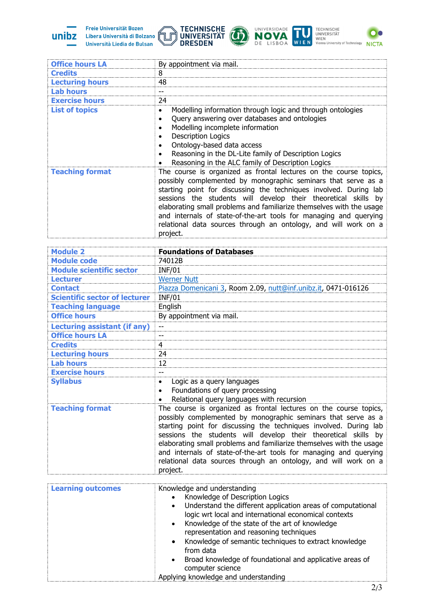

Freie Universität Bozen Libera Università di Bolzano Università Liedia de Bulsan









| <b>Office hours LA</b>               | By appointment via mail.                                                                                                                                                                                                                                                                                                                                                                                                                                                                              |
|--------------------------------------|-------------------------------------------------------------------------------------------------------------------------------------------------------------------------------------------------------------------------------------------------------------------------------------------------------------------------------------------------------------------------------------------------------------------------------------------------------------------------------------------------------|
| <b>Credits</b>                       | 8                                                                                                                                                                                                                                                                                                                                                                                                                                                                                                     |
| <b>Lecturing hours</b>               | 48                                                                                                                                                                                                                                                                                                                                                                                                                                                                                                    |
| <b>Lab hours</b>                     | $-$                                                                                                                                                                                                                                                                                                                                                                                                                                                                                                   |
| <b>Exercise hours</b>                | 24                                                                                                                                                                                                                                                                                                                                                                                                                                                                                                    |
| <b>List of topics</b>                | Modelling information through logic and through ontologies<br>$\bullet$<br>Query answering over databases and ontologies<br>$\bullet$<br>Modelling incomplete information<br>٠<br><b>Description Logics</b><br>$\bullet$<br>Ontology-based data access<br>$\bullet$<br>Reasoning in the DL-Lite family of Description Logics<br>Reasoning in the ALC family of Description Logics                                                                                                                     |
| <b>Teaching format</b>               | The course is organized as frontal lectures on the course topics,<br>possibly complemented by monographic seminars that serve as a<br>starting point for discussing the techniques involved. During lab<br>sessions the students will develop their theoretical skills by<br>elaborating small problems and familiarize themselves with the usage<br>and internals of state-of-the-art tools for managing and querying<br>relational data sources through an ontology, and will work on a<br>project. |
| <b>Module 2</b>                      | <b>Foundations of Databases</b>                                                                                                                                                                                                                                                                                                                                                                                                                                                                       |
| <b>Module code</b>                   | 74012B                                                                                                                                                                                                                                                                                                                                                                                                                                                                                                |
| <b>Module scientific sector</b>      | <b>INF/01</b>                                                                                                                                                                                                                                                                                                                                                                                                                                                                                         |
| <b>Lecturer</b>                      | <b>Werner Nutt</b>                                                                                                                                                                                                                                                                                                                                                                                                                                                                                    |
| <b>Contact</b>                       | Piazza Domenicani 3, Room 2.09, nutt@inf.unibz.it, 0471-016126                                                                                                                                                                                                                                                                                                                                                                                                                                        |
| <b>Scientific sector of lecturer</b> | <b>INF/01</b>                                                                                                                                                                                                                                                                                                                                                                                                                                                                                         |
| <b>Teaching language</b>             | English                                                                                                                                                                                                                                                                                                                                                                                                                                                                                               |
| <b>Office hours</b>                  | By appointment via mail.                                                                                                                                                                                                                                                                                                                                                                                                                                                                              |
| <b>Lecturing assistant (if any)</b>  |                                                                                                                                                                                                                                                                                                                                                                                                                                                                                                       |
| <b>Office hours LA</b>               | $-$                                                                                                                                                                                                                                                                                                                                                                                                                                                                                                   |
| <b>Credits</b>                       | 4                                                                                                                                                                                                                                                                                                                                                                                                                                                                                                     |
| <b>Lecturing hours</b>               | 24                                                                                                                                                                                                                                                                                                                                                                                                                                                                                                    |
| <b>Lab hours</b>                     | 12                                                                                                                                                                                                                                                                                                                                                                                                                                                                                                    |
| <b>Exercise hours</b>                |                                                                                                                                                                                                                                                                                                                                                                                                                                                                                                       |
| <b>Syllabus</b>                      | Logic as a query languages<br>Foundations of query processing<br>Relational query languages with recursion                                                                                                                                                                                                                                                                                                                                                                                            |
| <b>Teaching format</b>               | The course is organized as frontal lectures on the course topics,<br>possibly complemented by monographic seminars that serve as a<br>starting point for discussing the techniques involved. During lab<br>sessions the students will develop their theoretical skills by<br>elaborating small problems and familiarize themselves with the usage<br>and internals of state-of-the-art tools for managing and querying<br>relational data sources through an ontology, and will work on a<br>project. |
|                                      | Knowledge and understanding                                                                                                                                                                                                                                                                                                                                                                                                                                                                           |
| <b>Learning outcomes</b>             | Knowledge of Description Logics<br>Understand the different application areas of computational<br>$\bullet$<br>logic wrt local and international economical contexts<br>Knowledge of the state of the art of knowledge<br>$\bullet$<br>representation and reasoning techniques<br>Knowledge of semantic techniques to extract knowledge<br>from data<br>Broad knowledge of foundational and applicative areas of<br>computer science<br>Applying knowledge and understanding                          |